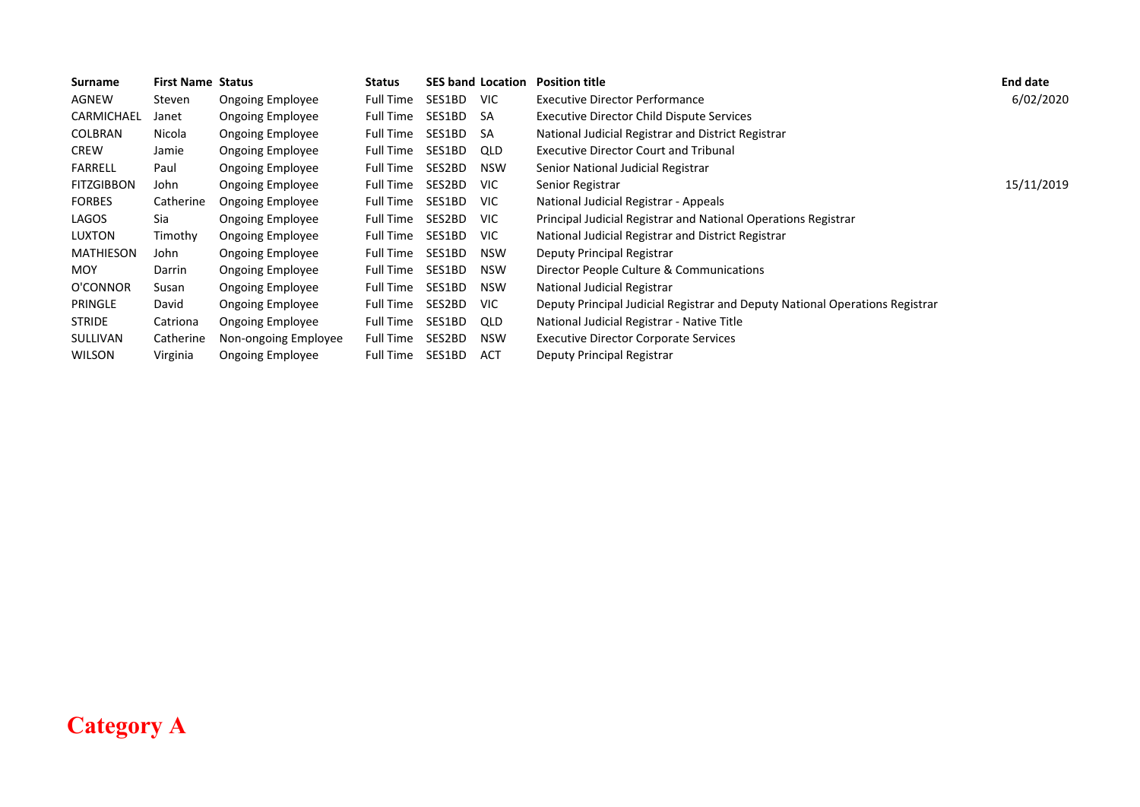| Surname           | <b>First Name Status</b> |                         | <b>Status</b>    |           | <b>SES band Location</b> | <b>Position title</b>                                                        | <b>End date</b> |
|-------------------|--------------------------|-------------------------|------------------|-----------|--------------------------|------------------------------------------------------------------------------|-----------------|
| AGNEW             | Steven                   | Ongoing Employee        | Full Time        | SES1BD    | VIC.                     | <b>Executive Director Performance</b>                                        | 6/02/2020       |
| CARMICHAEL        | Janet                    | Ongoing Employee        | Full Time        | SES1BD    | -SA                      | Executive Director Child Dispute Services                                    |                 |
| COLBRAN           | Nicola                   | Ongoing Employee        | Full Time        | SES1BD SA |                          | National Judicial Registrar and District Registrar                           |                 |
| <b>CREW</b>       | Jamie                    | Ongoing Employee        | Full Time        | SES1BD    | QLD                      | <b>Executive Director Court and Tribunal</b>                                 |                 |
| <b>FARRELL</b>    | Paul                     | Ongoing Employee        | Full Time        | SES2BD    | <b>NSW</b>               | Senior National Judicial Registrar                                           |                 |
| <b>FITZGIBBON</b> | John                     | <b>Ongoing Employee</b> | Full Time        | SES2BD    | <b>VIC</b>               | Senior Registrar                                                             | 15/11/2019      |
| <b>FORBES</b>     | Catherine                | <b>Ongoing Employee</b> | Full Time        | SES1BD    | <b>VIC</b>               | National Judicial Registrar - Appeals                                        |                 |
| LAGOS             | Sia                      | <b>Ongoing Employee</b> | Full Time        | SES2BD    | VIC.                     | Principal Judicial Registrar and National Operations Registrar               |                 |
| LUXTON            | Timothy                  | <b>Ongoing Employee</b> | Full Time        | SES1BD    | VIC.                     | National Judicial Registrar and District Registrar                           |                 |
| <b>MATHIESON</b>  | John                     | Ongoing Employee        | Full Time        | SES1BD    | <b>NSW</b>               | Deputy Principal Registrar                                                   |                 |
| <b>MOY</b>        | Darrin                   | <b>Ongoing Employee</b> | Full Time        | SES1BD    | <b>NSW</b>               | Director People Culture & Communications                                     |                 |
| O'CONNOR          | Susan                    | <b>Ongoing Employee</b> | <b>Full Time</b> | SES1BD    | <b>NSW</b>               | National Judicial Registrar                                                  |                 |
| PRINGLE           | David                    | Ongoing Employee        | Full Time        | SES2BD    | VIC.                     | Deputy Principal Judicial Registrar and Deputy National Operations Registrar |                 |
| <b>STRIDE</b>     | Catriona                 | Ongoing Employee        | Full Time        | SES1BD    | QLD                      | National Judicial Registrar - Native Title                                   |                 |
| <b>SULLIVAN</b>   | Catherine                | Non-ongoing Employee    | Full Time        | SES2BD    | <b>NSW</b>               | <b>Executive Director Corporate Services</b>                                 |                 |
| <b>WILSON</b>     | Virginia                 | <b>Ongoing Employee</b> | Full Time        | SES1BD    | <b>ACT</b>               | Deputy Principal Registrar                                                   |                 |

## **Category A**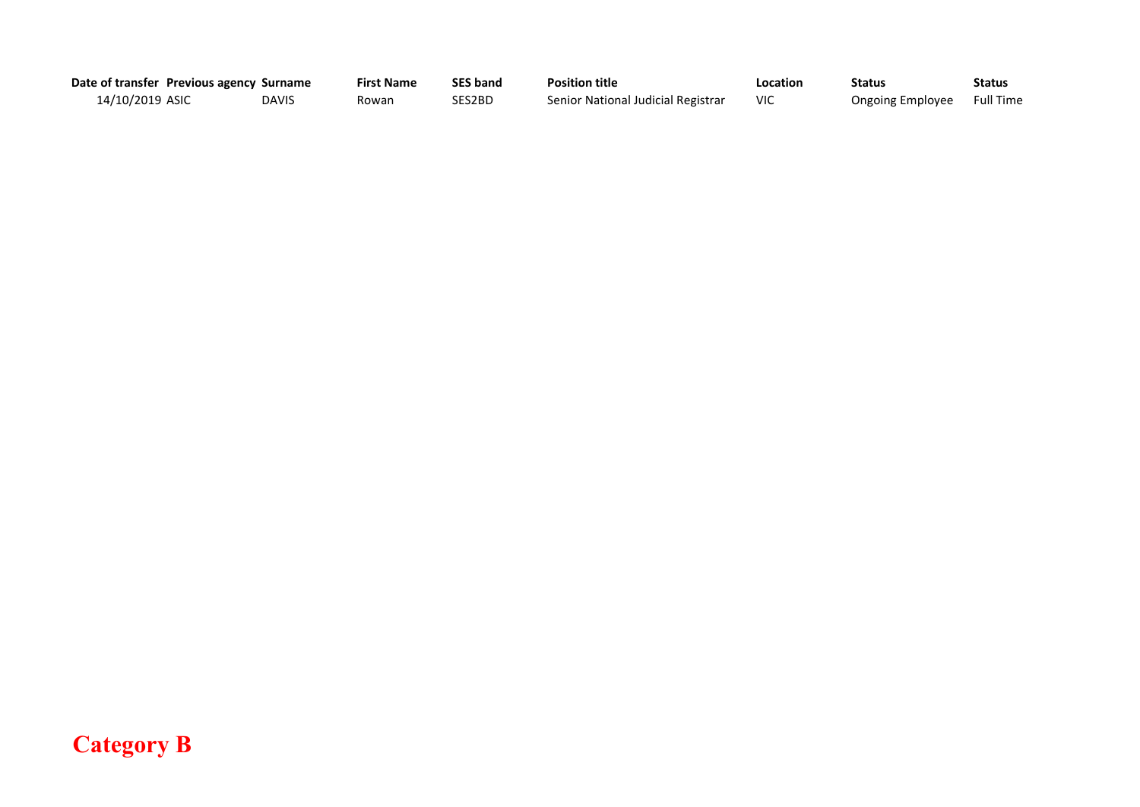| Date of transfer Previous agency Surname |              | <b>First Name</b> | <b>SES band</b> | <b>Position title</b>              | Location | <b>Status</b>           | Status           |
|------------------------------------------|--------------|-------------------|-----------------|------------------------------------|----------|-------------------------|------------------|
| 14/10/2019 ASIC                          | <b>DAVIS</b> | Rowan             | SES2BD          | Senior National Judicial Registrar |          | <b>Ongoing Employee</b> | <b>Full Time</b> |

## **Category B**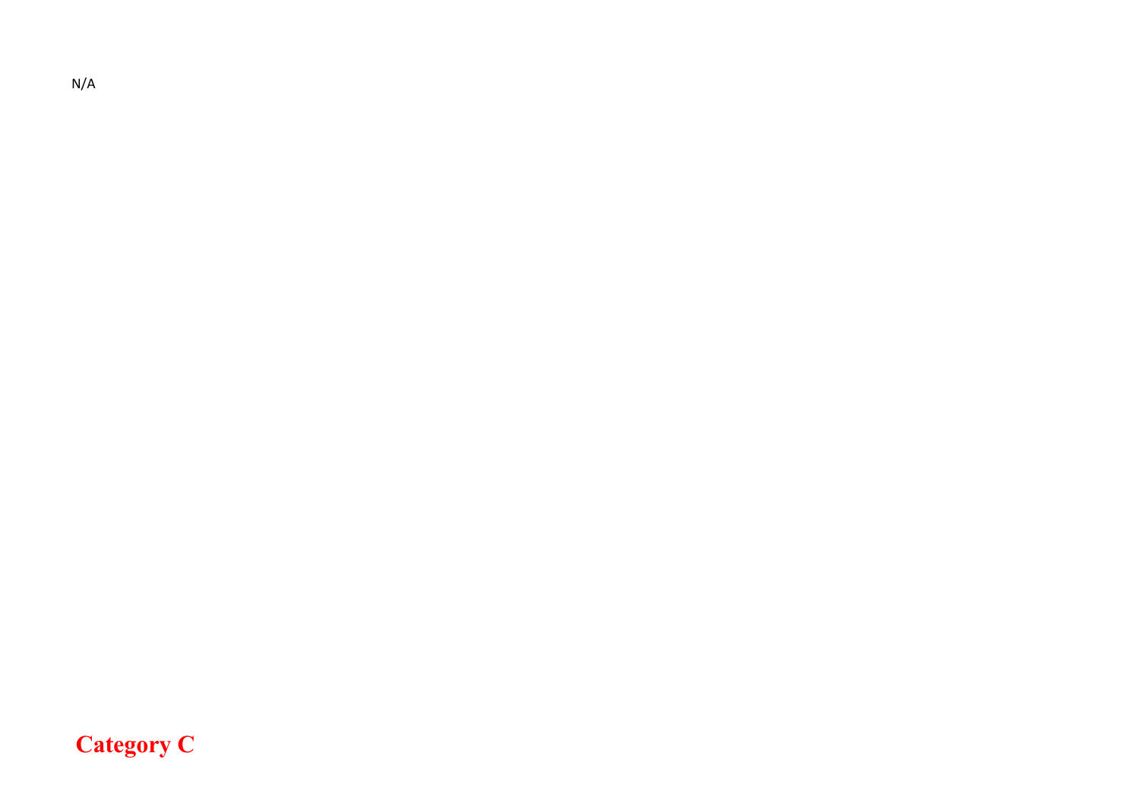N/A

## **Category C**